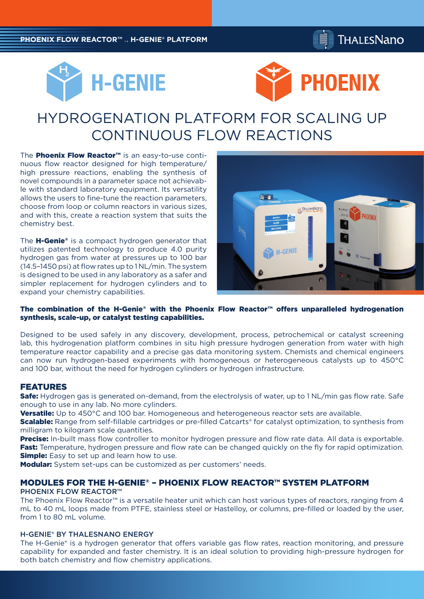





# HYDROGENATION PLATFORM FOR SCALING UP CONTINUOUS FLOW REACTIONS

The **Phoenix Flow Reactor™** is an easy-to-use continuous flow reactor designed for high temperature/ high pressure reactions, enabling the synthesis of novel compounds in a parameter space not achievable with standard laboratory equipment. Its versatility allows the users to fine-tune the reaction parameters, choose from loop or column reactors in various sizes, and with this, create a reaction system that suits the chemistry best.

The **H-Genie**® is a compact hydrogen generator that utilizes patented technology to produce 4.0 purity hydrogen gas from water at pressures up to 100 bar (14.5–1450 psi) at flow rates up to 1 NL/min. The system is designed to be used in any laboratory as a safer and simpler replacement for hydrogen cylinders and to expand your chemistry capabilities.



## The combination of the H-Genie® with the Phoenix Flow Reactor™ offers unparalleled hydrogenation synthesis, scale-up, or catalyst testing capabilities.

Designed to be used safely in any discovery, development, process, petrochemical or catalyst screening lab, this hydrogenation platform combines in situ high pressure hydrogen generation from water with high temperature reactor capability and a precise gas data monitoring system. Chemists and chemical engineers can now run hydrogen-based experiments with homogeneous or heterogeneous catalysts up to 450°C and 100 bar, without the need for hydrogen cylinders or hydrogen infrastructure.

# FEATURES

**Safe:** Hydrogen gas is generated on-demand, from the electrolysis of water, up to 1 NL/min gas flow rate. Safe enough to use in any lab. No more cylinders.

**Versatile:** Up to 450°C and 100 bar. Homogeneous and heterogeneous reactor sets are available.

**Scalable:** Range from self-fillable cartridges or pre-filled Catcarts® for catalyst optimization, to synthesis from milligram to kilogram scale quantities.

Precise: In-built mass flow controller to monitor hydrogen pressure and flow rate data. All data is exportable. **Fast:** Temperature, hydrogen pressure and flow rate can be changed quickly on the fly for rapid optimization. **Simple:** Easy to set up and learn how to use.

**Modular:** System set-ups can be customized as per customers' needs.

## MODULES FOR THE H-GENIE® – PHOENIX FLOW REACTOR™ SYSTEM PLATFORM

#### PHOENIX FLOW REACTOR™

The Phoenix Flow Reactor™ is a versatile heater unit which can host various types of reactors, ranging from 4 mL to 40 mL loops made from PTFE, stainless steel or Hastelloy, or columns, pre-filled or loaded by the user, from 1 to 80 mL volume.

## H-GENIE® BY THALESNANO ENERGY

The H-Genie® is a hydrogen generator that offers variable gas flow rates, reaction monitoring, and pressure capability for expanded and faster chemistry. It is an ideal solution to providing high-pressure hydrogen for both batch chemistry and flow chemistry applications.